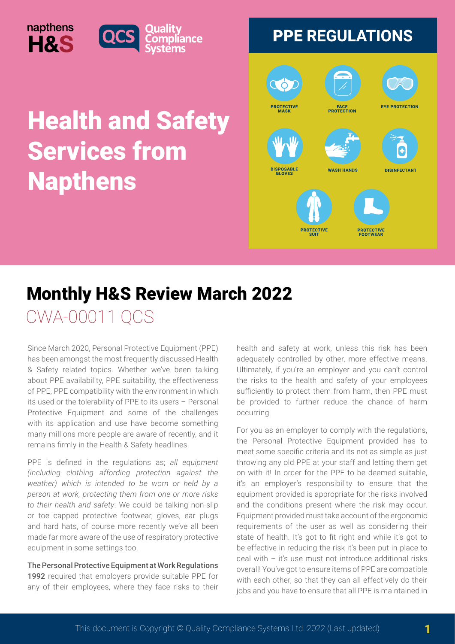## Health and Safety Services from Napthens



## Monthly H&S Review March 2022

liance

CWA-00011 QCS

napthens

H&S

Since March 2020, Personal Protective Equipment (PPE) has been amongst the most frequently discussed Health & Safety related topics. Whether we've been talking about PPE availability, PPE suitability, the effectiveness of PPE, PPE compatibility with the environment in which its used or the tolerability of PPE to its users – Personal Protective Equipment and some of the challenges with its application and use have become something many millions more people are aware of recently, and it remains firmly in the Health & Safety headlines.

PPE is defined in the regulations as; *all equipment (including clothing affording protection against the weather) which is intended to be worn or held by a person at work, protecting them from one or more risks to their health and safety*. We could be talking non-slip or toe capped protective footwear, gloves, ear plugs and hard hats, of course more recently we've all been made far more aware of the use of respiratory protective equipment in some settings too.

The Personal Protective Equipment at Work Regulations 1992 required that employers provide suitable PPE for any of their employees, where they face risks to their health and safety at work, unless this risk has been adequately controlled by other, more effective means. Ultimately, if you're an employer and you can't control the risks to the health and safety of your employees sufficiently to protect them from harm, then PPE must be provided to further reduce the chance of harm occurring.

For you as an employer to comply with the regulations, the Personal Protective Equipment provided has to meet some specific criteria and its not as simple as just throwing any old PPE at your staff and letting them get on with it! In order for the PPE to be deemed suitable, it's an employer's responsibility to ensure that the equipment provided is appropriate for the risks involved and the conditions present where the risk may occur. Equipment provided must take account of the ergonomic requirements of the user as well as considering their state of health. It's got to fit right and while it's got to be effective in reducing the risk it's been put in place to deal with  $-$  it's use must not introduce additional risks overall! You've got to ensure items of PPE are compatible with each other, so that they can all effectively do their jobs and you have to ensure that all PPE is maintained in